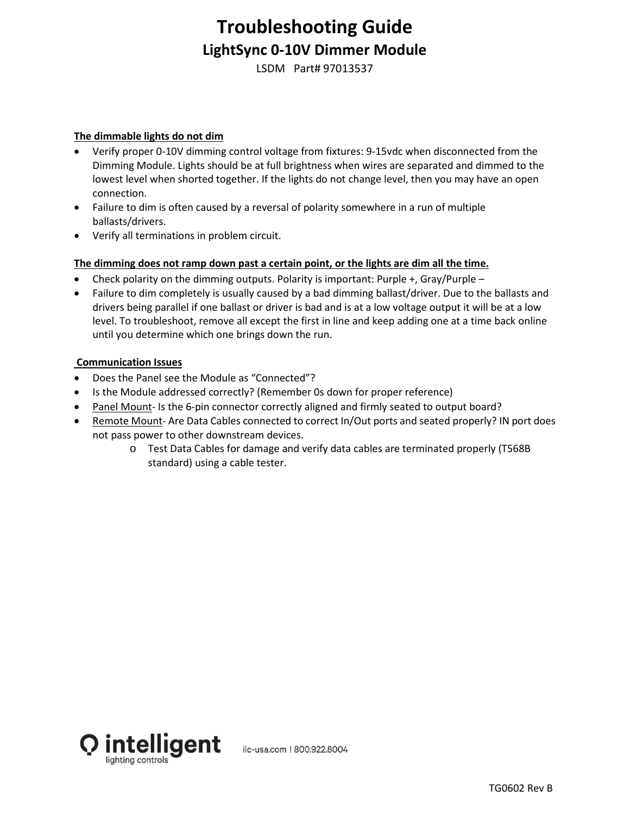## **Troubleshooting Guide LightSync 0-10V Dimmer Module**

LSDM Part# 97013537

### **The dimmable lights do not dim**

- Verify proper 0-10V dimming control voltage from fixtures: 9-15vdc when disconnected from the Dimming Module. Lights should be at full brightness when wires are separated and dimmed to the lowest level when shorted together. If the lights do not change level, then you may have an open connection.
- Failure to dim is often caused by a reversal of polarity somewhere in a run of multiple ballasts/drivers.
- Verify all terminations in problem circuit.

#### **The dimming does not ramp down past a certain point, or the lights are dim all the time.**

- Check polarity on the dimming outputs. Polarity is important: Purple  $+$ , Gray/Purple –
- Failure to dim completely is usually caused by a bad dimming ballast/driver. Due to the ballasts and drivers being parallel if one ballast or driver is bad and is at a low voltage output it will be at a low level. To troubleshoot, remove all except the first in line and keep adding one at a time back online until you determine which one brings down the run.

#### **Communication Issues**

- Does the Panel see the Module as "Connected"?
- Is the Module addressed correctly? (Remember 0s down for proper reference)
- Panel Mount- Is the 6-pin connector correctly aligned and firmly seated to output board?
- Remote Mount- Are Data Cables connected to correct In/Out ports and seated properly? IN port does not pass power to other downstream devices.
	- o Test Data Cables for damage and verify data cables are terminated properly (T568B standard) using a cable tester.